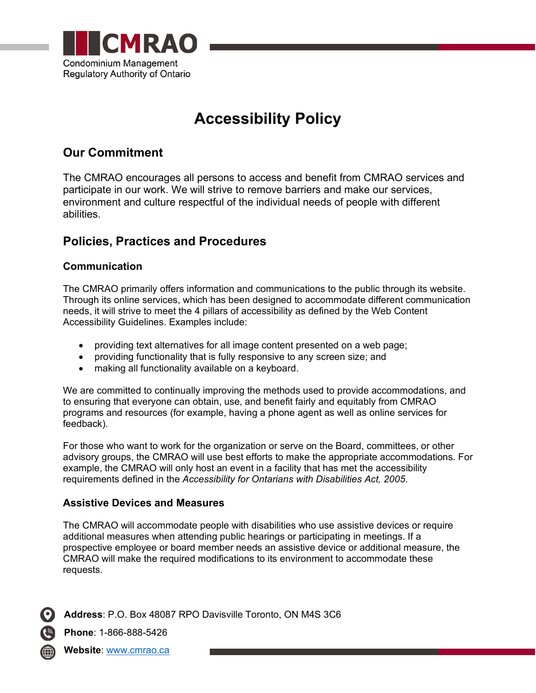

# **Accessibility Policy**

# **Our Commitment**

The CMRAO encourages all persons to access and benefit from CMRAO services and participate in our work. We will strive to remove barriers and make our services, environment and culture respectful of the individual needs of people with different abilities.

# **Policies, Practices and Procedures**

## **Communication**

The CMRAO primarily offers information and communications to the public through its website. Through its online services, which has been designed to accommodate different communication needs, it will strive to meet the 4 pillars of accessibility as defined by the Web Content Accessibility Guidelines. Examples include:

- providing text alternatives for all image content presented on a web page;
- providing functionality that is fully responsive to any screen size; and
- making all functionality available on a keyboard.

We are committed to continually improving the methods used to provide accommodations, and to ensuring that everyone can obtain, use, and benefit fairly and equitably from CMRAO programs and resources (for example, having a phone agent as well as online services for feedback).

For those who want to work for the organization or serve on the Board, committees, or other advisory groups, the CMRAO will use best efforts to make the appropriate accommodations. For example, the CMRAO will only host an event in a facility that has met the accessibility requirements defined in the *Accessibility for Ontarians with Disabilities Act, 2005*.

#### **Assistive Devices and Measures**

The CMRAO will accommodate people with disabilities who use assistive devices or require additional measures when attending public hearings or participating in meetings. If a prospective employee or board member needs an assistive device or additional measure, the CMRAO will make the required modifications to its environment to accommodate these requests.



**Phone**: 1-866-888-5426

**Website**: [www.cmrao.ca](http://www.cmrao.ca/)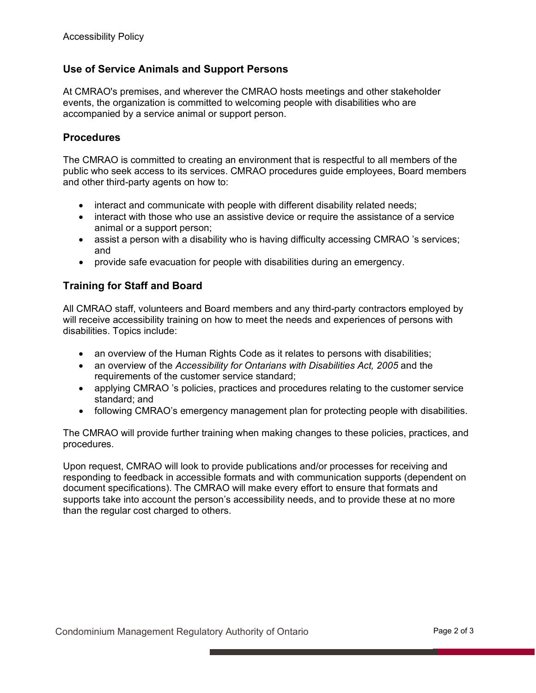## **Use of Service Animals and Support Persons**

At CMRAO's premises, and wherever the CMRAO hosts meetings and other stakeholder events, the organization is committed to welcoming people with disabilities who are accompanied by a service animal or support person.

#### **Procedures**

The CMRAO is committed to creating an environment that is respectful to all members of the public who seek access to its services. CMRAO procedures guide employees, Board members and other third-party agents on how to:

- interact and communicate with people with different disability related needs;
- interact with those who use an assistive device or require the assistance of a service animal or a support person;
- assist a person with a disability who is having difficulty accessing CMRAO 's services; and
- provide safe evacuation for people with disabilities during an emergency.

#### **Training for Staff and Board**

All CMRAO staff, volunteers and Board members and any third-party contractors employed by will receive accessibility training on how to meet the needs and experiences of persons with disabilities. Topics include:

- an overview of the Human Rights Code as it relates to persons with disabilities;
- an overview of the *Accessibility for Ontarians with Disabilities Act, 2005* and the requirements of the customer service standard;
- applying CMRAO 's policies, practices and procedures relating to the customer service standard; and
- following CMRAO's emergency management plan for protecting people with disabilities.

The CMRAO will provide further training when making changes to these policies, practices, and procedures.

Upon request, CMRAO will look to provide publications and/or processes for receiving and responding to feedback in accessible formats and with communication supports (dependent on document specifications). The CMRAO will make every effort to ensure that formats and supports take into account the person's accessibility needs, and to provide these at no more than the regular cost charged to others.